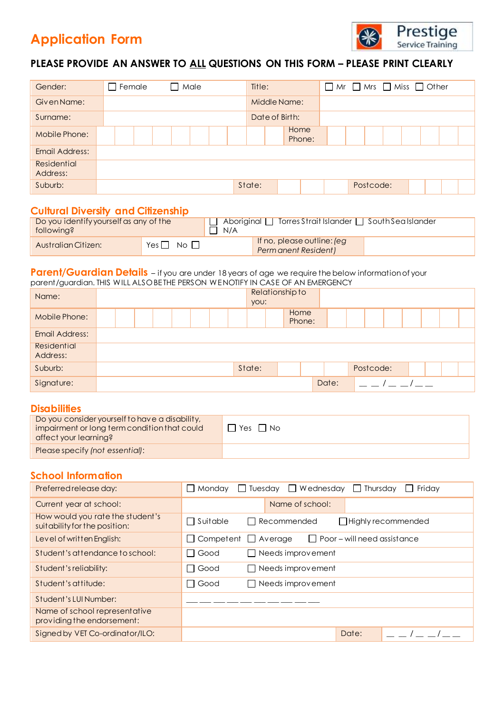# **Application Form**



## **PLEASE PROVIDE AN ANSWER TO ALL QUESTIONS ON THIS FORM – PLEASE PRINT CLEARLY**

| Gender:                        | Male<br>Female |  |        |                | $\Box$ Mr $\Box$ Mrs $\Box$ Miss $\Box$ Other |           |  |  |  |  |
|--------------------------------|----------------|--|--------|----------------|-----------------------------------------------|-----------|--|--|--|--|
| Given Name:                    |                |  |        | Middle Name:   |                                               |           |  |  |  |  |
| Surname:                       |                |  |        | Date of Birth: |                                               |           |  |  |  |  |
| Mobile Phone:                  |                |  |        | Home<br>Phone: |                                               |           |  |  |  |  |
| Email Address:                 |                |  |        |                |                                               |           |  |  |  |  |
| <b>Residential</b><br>Address: |                |  |        |                |                                               |           |  |  |  |  |
| Suburb:                        |                |  | State: |                |                                               | Postcode: |  |  |  |  |

### **Cultural Diversity and Citizenship**

| Do you identify yourself as any of the<br>following? |                            | Aboriginal I Torres Strait Islander I South Sea Islander<br>N/A |  |  |  |  |  |
|------------------------------------------------------|----------------------------|-----------------------------------------------------------------|--|--|--|--|--|
| <b>Australian Citizen:</b>                           | Yes $\Box$<br>$N$ o $\Box$ | If no, please outline: (eg<br>Perm anent Resident)              |  |  |  |  |  |

#### **Parent/Guardian Details** – if you are under 18 years of age we require the below information of your parent/guardian. THIS WILL ALSO BE THE PERSON WE NOTIFY IN CASE OF AN EMERGENCY

| Name:                   |  |  | you:   | Relationship to |       |           |  |  |  |
|-------------------------|--|--|--------|-----------------|-------|-----------|--|--|--|
| Mobile Phone:           |  |  |        | Home<br>Phone:  |       |           |  |  |  |
| <b>Email Address:</b>   |  |  |        |                 |       |           |  |  |  |
| Residential<br>Address: |  |  |        |                 |       |           |  |  |  |
| Suburb:                 |  |  | State: |                 |       | Postcode: |  |  |  |
| Signature:              |  |  |        |                 | Date: |           |  |  |  |

## **Disabilities**

| Do you consider yourself to have a disability,<br>impairment or long term condition that could<br>affect your learning? | $Yes \Box No$ |
|-------------------------------------------------------------------------------------------------------------------------|---------------|
| Please specify (not essential):                                                                                         |               |

## **School Information**

| Preferred release day:                                            | Tuesday $\Box$ Wednesday $\Box$<br>Monday<br>Thursday<br>Friday<br>$\mathbf{I}$              |
|-------------------------------------------------------------------|----------------------------------------------------------------------------------------------|
| Current year at school:                                           | Name of school:                                                                              |
| How would you rate the student's<br>suitability for the position: | Suitable<br>Recommended<br>$\Box$ Highly recommended<br>$\mathbf{I}$                         |
| Level of written English:                                         | $\Box$ Poor – will need assistance<br>Competent<br>Average<br>$\blacksquare$<br>$\mathbf{I}$ |
| Student's attendance to school:                                   | Good<br>Needs improvement                                                                    |
| Student's reliability:                                            | Good<br>Needs improvement                                                                    |
| Student's attitude:                                               | Good<br>Needs improvement                                                                    |
| Student's LUI Number:                                             |                                                                                              |
| Name of school representative<br>providing the endorsement:       |                                                                                              |
| Signed by VET Co-ordinator/ILO:                                   | Date:                                                                                        |